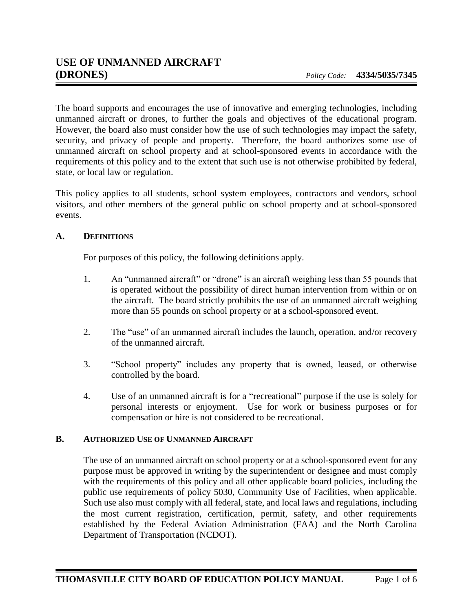The board supports and encourages the use of innovative and emerging technologies, including unmanned aircraft or drones, to further the goals and objectives of the educational program. However, the board also must consider how the use of such technologies may impact the safety, security, and privacy of people and property. Therefore, the board authorizes some use of unmanned aircraft on school property and at school-sponsored events in accordance with the requirements of this policy and to the extent that such use is not otherwise prohibited by federal, state, or local law or regulation.

This policy applies to all students, school system employees, contractors and vendors, school visitors, and other members of the general public on school property and at school-sponsored events.

## **A. DEFINITIONS**

For purposes of this policy, the following definitions apply.

- 1. An "unmanned aircraft" or "drone" is an aircraft weighing less than 55 pounds that is operated without the possibility of direct human intervention from within or on the aircraft. The board strictly prohibits the use of an unmanned aircraft weighing more than 55 pounds on school property or at a school-sponsored event.
- 2. The "use" of an unmanned aircraft includes the launch, operation, and/or recovery of the unmanned aircraft.
- 3. "School property" includes any property that is owned, leased, or otherwise controlled by the board.
- 4. Use of an unmanned aircraft is for a "recreational" purpose if the use is solely for personal interests or enjoyment. Use for work or business purposes or for compensation or hire is not considered to be recreational.

## **B. AUTHORIZED USE OF UNMANNED AIRCRAFT**

The use of an unmanned aircraft on school property or at a school-sponsored event for any purpose must be approved in writing by the superintendent or designee and must comply with the requirements of this policy and all other applicable board policies, including the public use requirements of policy 5030, Community Use of Facilities, when applicable. Such use also must comply with all federal, state, and local laws and regulations, including the most current registration, certification, permit, safety, and other requirements established by the Federal Aviation Administration (FAA) and the North Carolina Department of Transportation (NCDOT).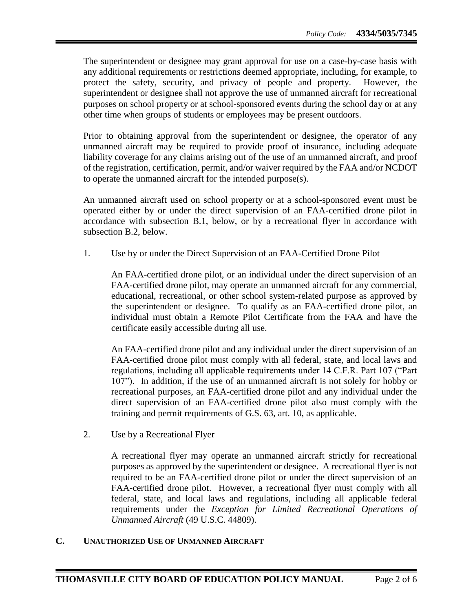The superintendent or designee may grant approval for use on a case-by-case basis with any additional requirements or restrictions deemed appropriate, including, for example, to protect the safety, security, and privacy of people and property. However, the superintendent or designee shall not approve the use of unmanned aircraft for recreational purposes on school property or at school-sponsored events during the school day or at any other time when groups of students or employees may be present outdoors.

Prior to obtaining approval from the superintendent or designee, the operator of any unmanned aircraft may be required to provide proof of insurance, including adequate liability coverage for any claims arising out of the use of an unmanned aircraft, and proof of the registration, certification, permit, and/or waiver required by the FAA and/or NCDOT to operate the unmanned aircraft for the intended purpose(s).

An unmanned aircraft used on school property or at a school-sponsored event must be operated either by or under the direct supervision of an FAA-certified drone pilot in accordance with subsection B.1, below, or by a recreational flyer in accordance with subsection B.2, below.

1. Use by or under the Direct Supervision of an FAA-Certified Drone Pilot

An FAA-certified drone pilot, or an individual under the direct supervision of an FAA-certified drone pilot, may operate an unmanned aircraft for any commercial, educational, recreational, or other school system-related purpose as approved by the superintendent or designee. To qualify as an FAA-certified drone pilot, an individual must obtain a Remote Pilot Certificate from the FAA and have the certificate easily accessible during all use.

An FAA-certified drone pilot and any individual under the direct supervision of an FAA-certified drone pilot must comply with all federal, state, and local laws and regulations, including all applicable requirements under 14 C.F.R. Part 107 ("Part 107"). In addition, if the use of an unmanned aircraft is not solely for hobby or recreational purposes, an FAA-certified drone pilot and any individual under the direct supervision of an FAA-certified drone pilot also must comply with the training and permit requirements of G.S. 63, art. 10, as applicable.

2. Use by a Recreational Flyer

A recreational flyer may operate an unmanned aircraft strictly for recreational purposes as approved by the superintendent or designee. A recreational flyer is not required to be an FAA-certified drone pilot or under the direct supervision of an FAA-certified drone pilot. However, a recreational flyer must comply with all federal, state, and local laws and regulations, including all applicable federal requirements under the *Exception for Limited Recreational Operations of Unmanned Aircraft* (49 U.S.C. 44809).

## **C. UNAUTHORIZED USE OF UNMANNED AIRCRAFT**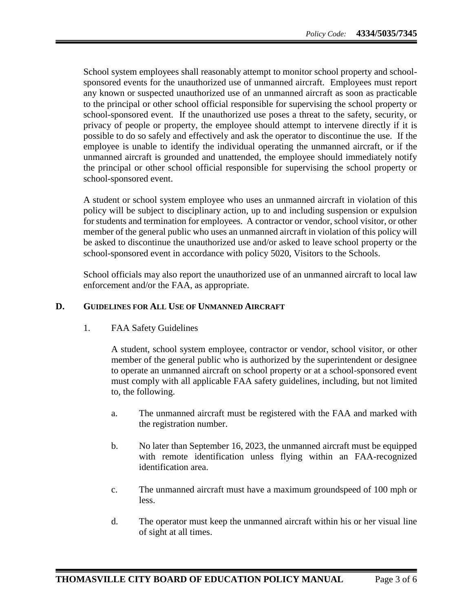School system employees shall reasonably attempt to monitor school property and schoolsponsored events for the unauthorized use of unmanned aircraft. Employees must report any known or suspected unauthorized use of an unmanned aircraft as soon as practicable to the principal or other school official responsible for supervising the school property or school-sponsored event. If the unauthorized use poses a threat to the safety, security, or privacy of people or property, the employee should attempt to intervene directly if it is possible to do so safely and effectively and ask the operator to discontinue the use. If the employee is unable to identify the individual operating the unmanned aircraft, or if the unmanned aircraft is grounded and unattended, the employee should immediately notify the principal or other school official responsible for supervising the school property or school-sponsored event.

A student or school system employee who uses an unmanned aircraft in violation of this policy will be subject to disciplinary action, up to and including suspension or expulsion for students and termination for employees. A contractor or vendor, school visitor, or other member of the general public who uses an unmanned aircraft in violation of this policy will be asked to discontinue the unauthorized use and/or asked to leave school property or the school-sponsored event in accordance with policy 5020, Visitors to the Schools.

School officials may also report the unauthorized use of an unmanned aircraft to local law enforcement and/or the FAA, as appropriate.

## **D. GUIDELINES FOR ALL USE OF UNMANNED AIRCRAFT**

1. FAA Safety Guidelines

A student, school system employee, contractor or vendor, school visitor, or other member of the general public who is authorized by the superintendent or designee to operate an unmanned aircraft on school property or at a school-sponsored event must comply with all applicable FAA safety guidelines, including, but not limited to, the following.

- a. The unmanned aircraft must be registered with the FAA and marked with the registration number.
- b. No later than September 16, 2023, the unmanned aircraft must be equipped with remote identification unless flying within an FAA-recognized identification area.
- c. The unmanned aircraft must have a maximum groundspeed of 100 mph or less.
- d. The operator must keep the unmanned aircraft within his or her visual line of sight at all times.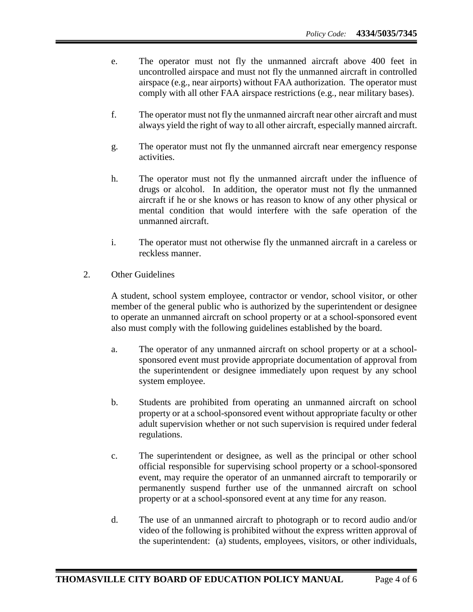- e. The operator must not fly the unmanned aircraft above 400 feet in uncontrolled airspace and must not fly the unmanned aircraft in controlled airspace (e.g., near airports) without FAA authorization. The operator must comply with all other FAA airspace restrictions (e.g., near military bases).
- f. The operator must not fly the unmanned aircraft near other aircraft and must always yield the right of way to all other aircraft, especially manned aircraft.
- g. The operator must not fly the unmanned aircraft near emergency response activities.
- h. The operator must not fly the unmanned aircraft under the influence of drugs or alcohol. In addition, the operator must not fly the unmanned aircraft if he or she knows or has reason to know of any other physical or mental condition that would interfere with the safe operation of the unmanned aircraft.
- i. The operator must not otherwise fly the unmanned aircraft in a careless or reckless manner.
- 2. Other Guidelines

A student, school system employee, contractor or vendor, school visitor, or other member of the general public who is authorized by the superintendent or designee to operate an unmanned aircraft on school property or at a school-sponsored event also must comply with the following guidelines established by the board.

- a. The operator of any unmanned aircraft on school property or at a schoolsponsored event must provide appropriate documentation of approval from the superintendent or designee immediately upon request by any school system employee.
- b. Students are prohibited from operating an unmanned aircraft on school property or at a school-sponsored event without appropriate faculty or other adult supervision whether or not such supervision is required under federal regulations.
- c. The superintendent or designee, as well as the principal or other school official responsible for supervising school property or a school-sponsored event, may require the operator of an unmanned aircraft to temporarily or permanently suspend further use of the unmanned aircraft on school property or at a school-sponsored event at any time for any reason.
- d. The use of an unmanned aircraft to photograph or to record audio and/or video of the following is prohibited without the express written approval of the superintendent: (a) students, employees, visitors, or other individuals,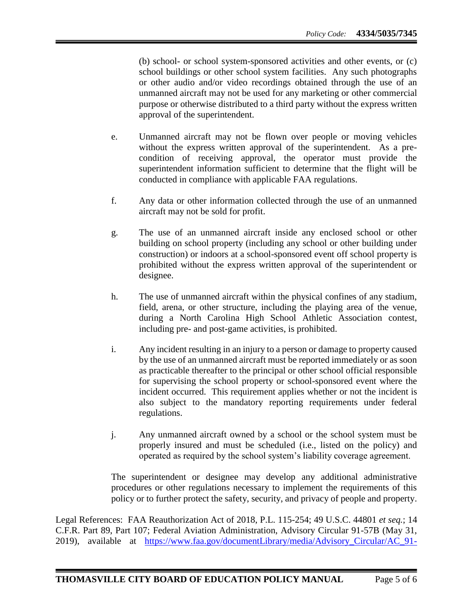(b) school- or school system-sponsored activities and other events, or (c) school buildings or other school system facilities. Any such photographs or other audio and/or video recordings obtained through the use of an unmanned aircraft may not be used for any marketing or other commercial purpose or otherwise distributed to a third party without the express written approval of the superintendent.

- e. Unmanned aircraft may not be flown over people or moving vehicles without the express written approval of the superintendent. As a precondition of receiving approval, the operator must provide the superintendent information sufficient to determine that the flight will be conducted in compliance with applicable FAA regulations.
- f. Any data or other information collected through the use of an unmanned aircraft may not be sold for profit.
- g. The use of an unmanned aircraft inside any enclosed school or other building on school property (including any school or other building under construction) or indoors at a school-sponsored event off school property is prohibited without the express written approval of the superintendent or designee.
- h. The use of unmanned aircraft within the physical confines of any stadium, field, arena, or other structure, including the playing area of the venue, during a North Carolina High School Athletic Association contest, including pre- and post-game activities, is prohibited.
- i. Any incident resulting in an injury to a person or damage to property caused by the use of an unmanned aircraft must be reported immediately or as soon as practicable thereafter to the principal or other school official responsible for supervising the school property or school-sponsored event where the incident occurred. This requirement applies whether or not the incident is also subject to the mandatory reporting requirements under federal regulations.
- j. Any unmanned aircraft owned by a school or the school system must be properly insured and must be scheduled (i.e., listed on the policy) and operated as required by the school system's liability coverage agreement.

The superintendent or designee may develop any additional administrative procedures or other regulations necessary to implement the requirements of this policy or to further protect the safety, security, and privacy of people and property.

Legal References: FAA Reauthorization Act of 2018, P.L. 115-254; 49 U.S.C. 44801 *et seq.*; 14 C.F.R. Part 89, Part 107; Federal Aviation Administration, Advisory Circular 91-57B (May 31, 2019), available at [https://www.faa.gov/documentLibrary/media/Advisory\\_Circular/AC\\_91-](https://www.faa.gov/documentLibrary/media/Advisory_Circular/AC_91-57B.pdf)